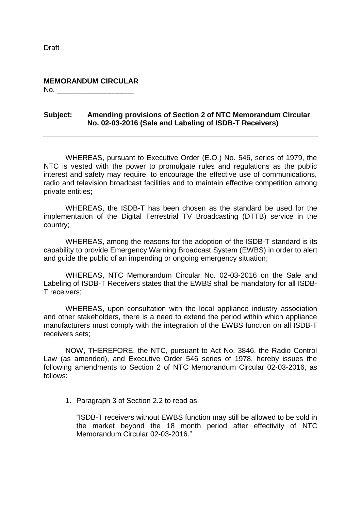Draft

**MEMORANDUM CIRCULAR**  $No.$ 

## **Subject: Amending provisions of Section 2 of NTC Memorandum Circular No. 02-03-2016 (Sale and Labeling of ISDB-T Receivers)**

WHEREAS, pursuant to Executive Order (E.O.) No. 546, series of 1979, the NTC is vested with the power to promulgate rules and regulations as the public interest and safety may require, to encourage the effective use of communications, radio and television broadcast facilities and to maintain effective competition among private entities;

WHEREAS, the ISDB-T has been chosen as the standard be used for the implementation of the Digital Terrestrial TV Broadcasting (DTTB) service in the country;

WHEREAS, among the reasons for the adoption of the ISDB-T standard is its capability to provide Emergency Warning Broadcast System (EWBS) in order to alert and guide the public of an impending or ongoing emergency situation;

WHEREAS, NTC Memorandum Circular No. 02-03-2016 on the Sale and Labeling of ISDB-T Receivers states that the EWBS shall be mandatory for all ISDB-T receivers;

WHEREAS, upon consultation with the local appliance industry association and other stakeholders, there is a need to extend the period within which appliance manufacturers must comply with the integration of the EWBS function on all ISDB-T receivers sets;

NOW, THEREFORE, the NTC, pursuant to Act No. 3846, the Radio Control Law (as amended), and Executive Order 546 series of 1978, hereby issues the following amendments to Section 2 of NTC Memorandum Circular 02-03-2016, as follows:

1. Paragraph 3 of Section 2.2 to read as:

"ISDB-T receivers without EWBS function may still be allowed to be sold in the market beyond the 18 month period after effectivity of NTC Memorandum Circular 02-03-2016."